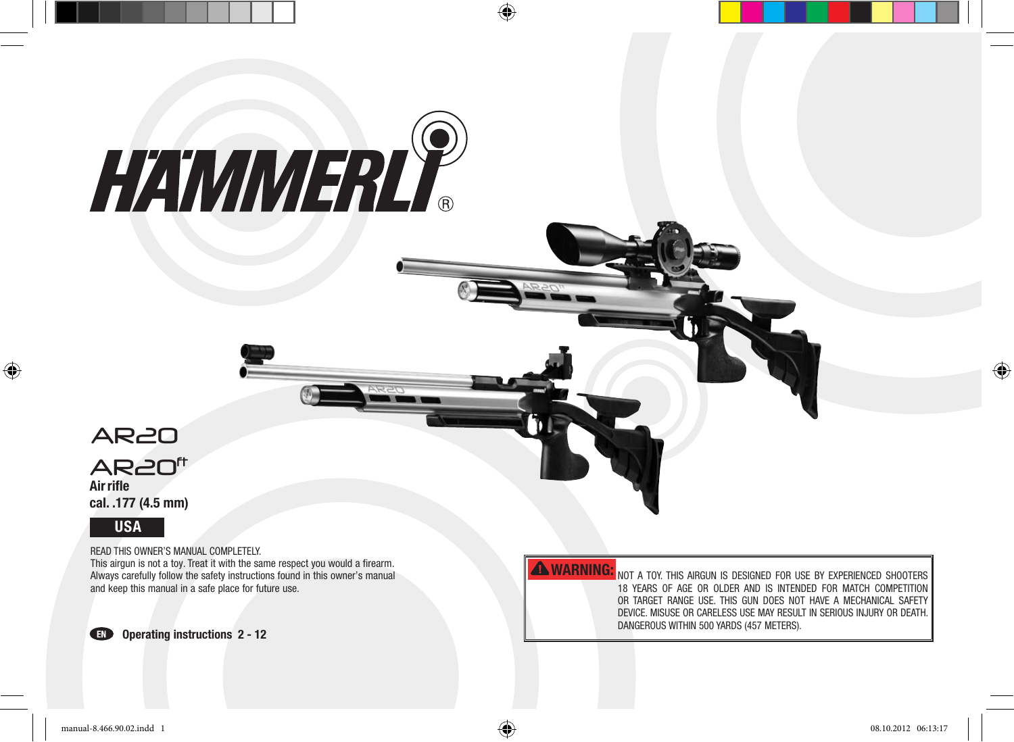# HAWMERLY



⊕

Airrifle cal. .177 (4.5 mm) AR<sub>20</sub><sup>ft</sup>



Read this owneR's Manual coMpletely.

This airgun is not a toy. Treat it with the same respect you would a firearm. always carefully follow the safety instructions found in this owner's manual and keep this manual in a safe place for future use.



## **AWARNING:**

not a toy. this aiRGun is desiGned FoR use By eXpeRienced shooteRs 18 yeaRs oF aGe oR oldeR and is intended FoR Match coMpetition oR taRGet RanGe use. this Gun does not haVe a Mechanical saFety deVice. Misuse oR caReless use May Result in seRious inJuRy oR death. DANGEROUS WITHIN 500 YARDS (457 METERS).

 $\bigoplus$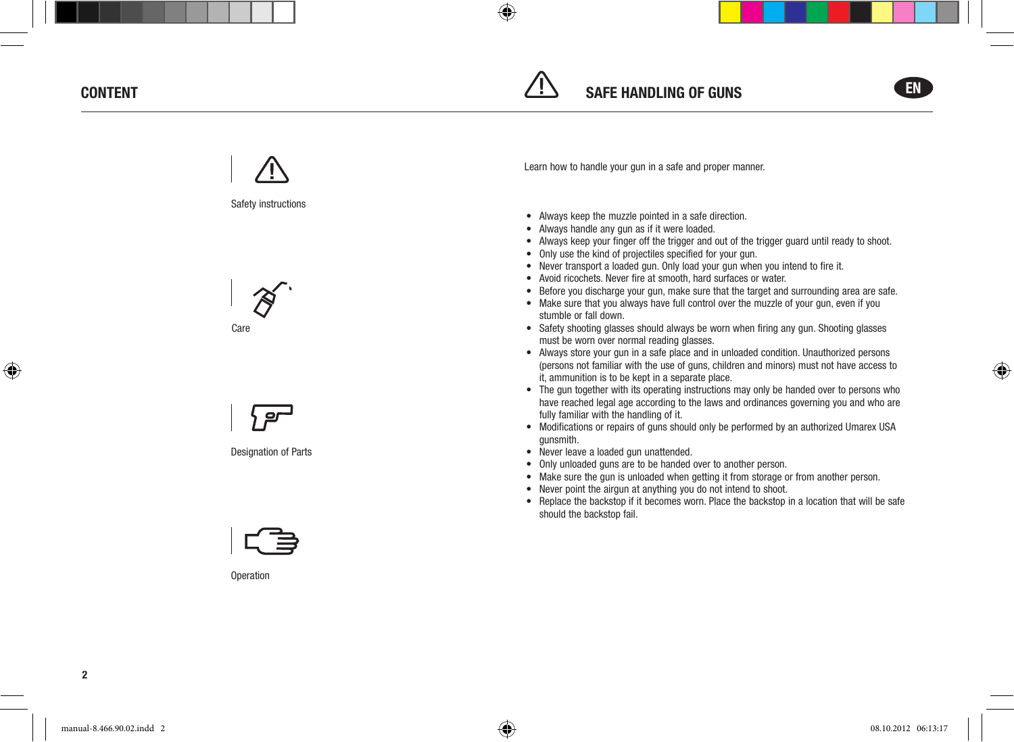### **CONTENT**





◈







Designation of Parts



**Operation** 

learn how to handle your gun in a safe and proper manner.

- Always keep the muzzle pointed in a safe direction.
- Always handle any gun as if it were loaded.
- Always keep your finger off the trigger and out of the trigger guard until ready to shoot.
- Only use the kind of projectiles specified for your gun.
- Never transport a loaded gun. Only load your gun when you intend to fire it.
- Avoid ricochets. Never fire at smooth, hard surfaces or water.
- Before you discharge your gun, make sure that the target and surrounding area are safe.
- Make sure that you always have full control over the muzzle of your gun, even if you stumble or fall down.
- Safety shooting glasses should always be worn when firing any gun. Shooting glasses must be worn over normal reading glasses.
- Always store your gun in a safe place and in unloaded condition. Unauthorized persons (persons not familiar with the use of guns, children and minors) must not have access to it, ammunition is to be kept in a separate place.
- The gun together with its operating instructions may only be handed over to persons who have reached legal age according to the laws and ordinances governing you and who are fully familiar with the handling of it.
- Modifications or repairs of guns should only be performed by an authorized Umarex USA gunsmith.
- Never leave a loaded gun unattended.
- Only unloaded guns are to be handed over to another person.
- Make sure the gun is unloaded when getting it from storage or from another person.
- Never point the airgun at anything you do not intend to shoot.
- Replace the backstop if it becomes worn. Place the backstop in a location that will be safe should the backstop fail.

◈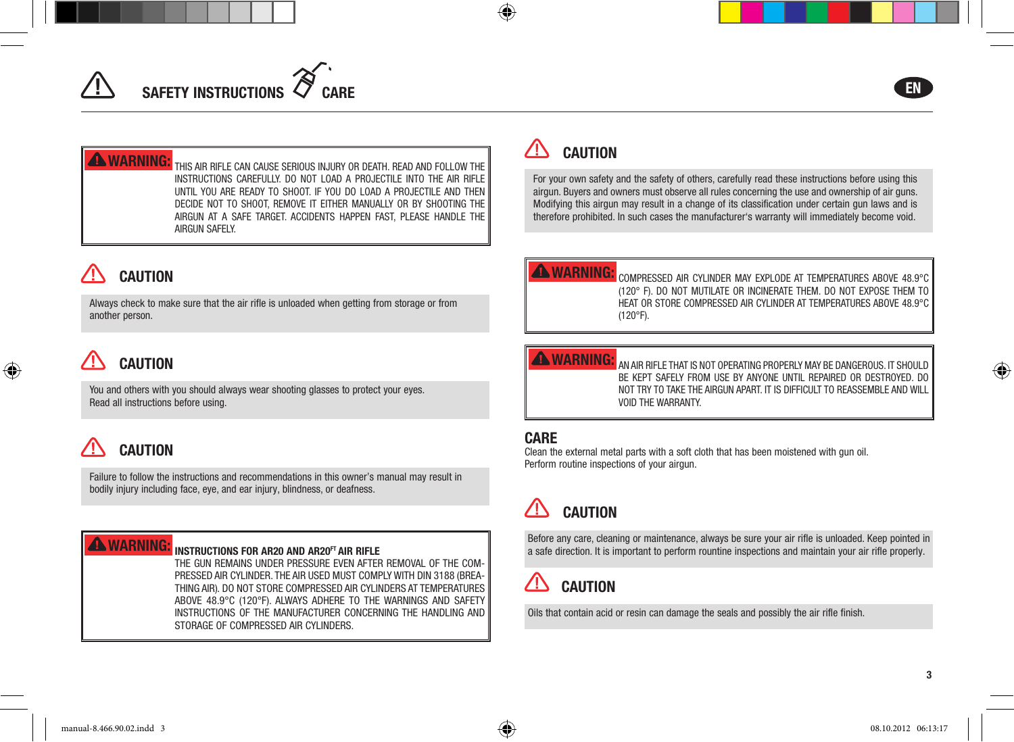# SAFETY INSTRUCTIONS



**WARNING:** THIS AIR RIFLE CAN CAUSE SERIOUS INJURY OR DEATH. READ AND FOLLOW THE instRuctions caReFully. do not load a pRoJectile into the aiR RiFle until you aRe Ready to shoot. iF you do load a pRoJectile and then decIde NOT TO ShOOT, ReMOve IT eITheR MANUAlly OR By ShOOTINg The AIRgUN AT A SAFe TARgeT. AccIdeNTS hAPPeN FAST, PleASe hANdle The aiRGun saFely.

## **CAUTION**

always check to make sure that the air rifle is unloaded when getting from storage or from another person.

## **CAUTION**

◈

You and others with you should always wear shooting glasses to protect your eyes. Read all instructions before using.

# **CAUTION**

Failure to follow the instructions and recommendations in this owner's manual may result in bodily injury including face, eye, and ear injury, blindness, or deafness.

## **WARNING:** INSTRUCTIONS FOR AR20 AND AR20<sup>ft</sup> air rifle

the Gun ReMains undeR pRessuRe eVen aFteR ReMoVal oF the coMpRessed aiR cylindeR. the aiR used Must coMply with din 3188 (BRea-THING AIR). DO NOT STORE COMPRESSED AIR CYLINDERS AT TEMPERATURES aBoVe 48.9°c (120°F). always adheRe to the waRninGs and saFety instRuctions oF the ManuFactuReR conceRninG the handlinG and stoRaGe oF coMpRessed aiR cylindeRs.

## **CAUTION**

⊕

For your own safety and the safety of others, carefully read these instructions before using this airgun. Buyers and owners must observe all rules concerning the use and ownership of air guns. Modifying this airgun may result in a change of its classification under certain gun laws and is therefore prohibited. In such cases the manufacturer's warranty will immediately become void.

## **AWARNING:**

coMpRessed aiR cylindeR May eXplode at teMpeRatuRes aBoVe 48.9°c (120° F). do not Mutilate oR incineRate theM. do not eXpose theM to heat oR stoRe coMpRessed aiR cylindeR at teMpeRatuRes aBoVe 48.9°c (120°F).

**WARNING:** AN AIR RIFLE THAT IS NOT OPERATING PROPERLY MAY BE DANGEROUS. IT SHOULD Be kept saFely FRoM use By anyone until RepaiRed oR destRoyed. do not tRy to take the aiRGun apaRt. it is diFFicult to ReasseMBle and will Void the waRRanty.

## **CARE**

clean the external metal parts with a soft cloth that has been moistened with gun oil. perform routine inspections of your airgun.

# **CAUTION**

Before any care, cleaning or maintenance, always be sure your air rifle is unloaded. Keep pointed in a safe direction. it is important to perform rountine inspections and maintain your air rifle properly.

#### **CAUTION** ⁄ !`

oils that contain acid or resin can damage the seals and possibly the air rifle finish.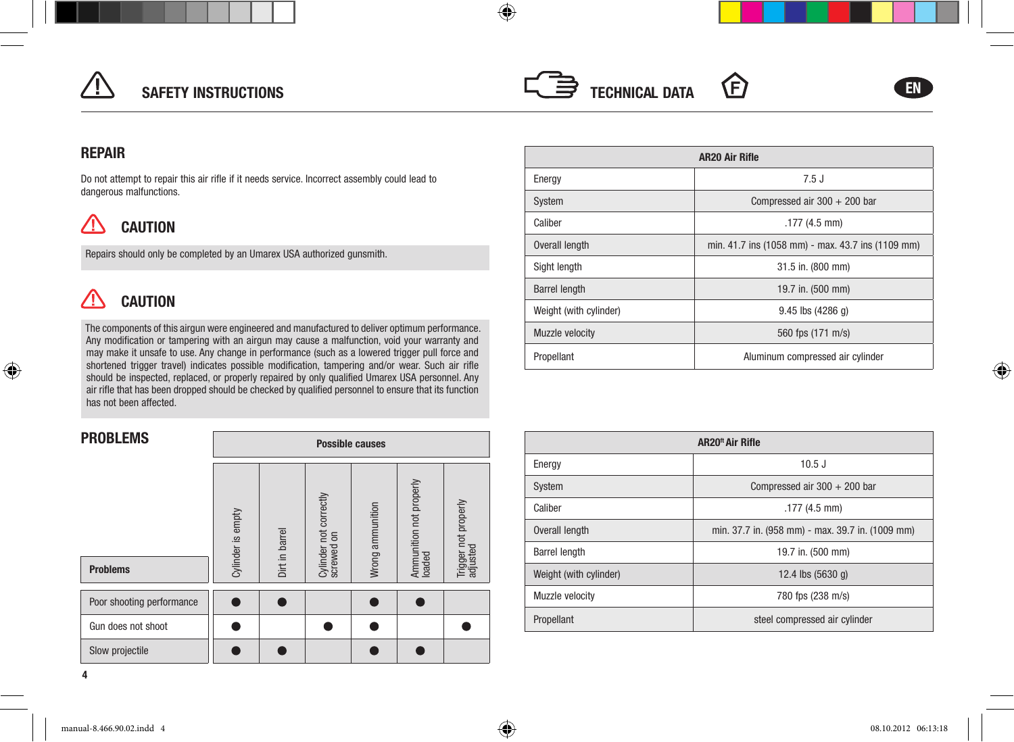

## SAFETY INSTRUCTIONS



◈

# (F)



⊕

## **REPAIR**

Do not attempt to repair this air rifle if it needs service. Incorrect assembly could lead to dangerous malfunctions.

#### ∕! **CAUTION**

Repairs should only be completed by an Umarex USA authorized gunsmith.

#### $\sqrt{N}$ **CAUTION**

◈

The components of this airgun were engineered and manufactured to deliver optimum performance. Any modification or tampering with an airgun may cause a malfunction, void your warranty and may make it unsafe to use. any change in performance (such as a lowered trigger pull force and shortened trigger travel) indicates possible modification, tampering and/or wear. Such air rifle should be inspected, replaced, or properly repaired by only qualified Umarex USA personnel. Any air rifle that has been dropped should be checked by qualified personnel to ensure that its function has not been affected.

| <b>PROBLEMS</b>           |                   | <b>Possible causes</b> |                                      |                  |                                   |                                  |
|---------------------------|-------------------|------------------------|--------------------------------------|------------------|-----------------------------------|----------------------------------|
| <b>Problems</b>           | Cylinder is empty | Dirt in barrel         | Cylinder not correctly<br>screwed on | Wrong ammunition | Ammunition not properly<br>loaded | Trigger not properly<br>adjusted |
| Poor shooting performance |                   |                        |                                      |                  |                                   |                                  |
| Gun does not shoot        |                   |                        |                                      |                  |                                   |                                  |
| Slow projectile           |                   |                        |                                      |                  |                                   |                                  |

| <b>AR20 Air Rifle</b>  |                                                   |  |  |  |
|------------------------|---------------------------------------------------|--|--|--|
| Energy                 | 7.5J                                              |  |  |  |
| System                 | Compressed air $300 + 200$ bar                    |  |  |  |
| Caliber                | $.177(4.5$ mm)                                    |  |  |  |
| Overall length         | min. 41.7 ins (1058 mm) - max. 43.7 ins (1109 mm) |  |  |  |
| Sight length           | 31.5 in. (800 mm)                                 |  |  |  |
| <b>Barrel length</b>   | 19.7 in. (500 mm)                                 |  |  |  |
| Weight (with cylinder) | $9.45$ lbs (4286 q)                               |  |  |  |
| Muzzle velocity        | 560 fps (171 m/s)                                 |  |  |  |
| Propellant             | Aluminum compressed air cylinder                  |  |  |  |

| <b>AR20<sup>ft</sup> Air Rifle</b> |                                                  |  |  |  |
|------------------------------------|--------------------------------------------------|--|--|--|
| Energy                             | $10.5$ J                                         |  |  |  |
| System                             | Compressed air $300 + 200$ bar                   |  |  |  |
| Caliber                            | $.177(4.5$ mm)                                   |  |  |  |
| Overall length                     | min. 37.7 in. (958 mm) - max. 39.7 in. (1009 mm) |  |  |  |
| <b>Barrel length</b>               | 19.7 in. (500 mm)                                |  |  |  |
| Weight (with cylinder)             | 12.4 lbs $(5630q)$                               |  |  |  |
| Muzzle velocity                    | 780 fps (238 m/s)                                |  |  |  |
| Propellant                         | steel compressed air cylinder                    |  |  |  |

4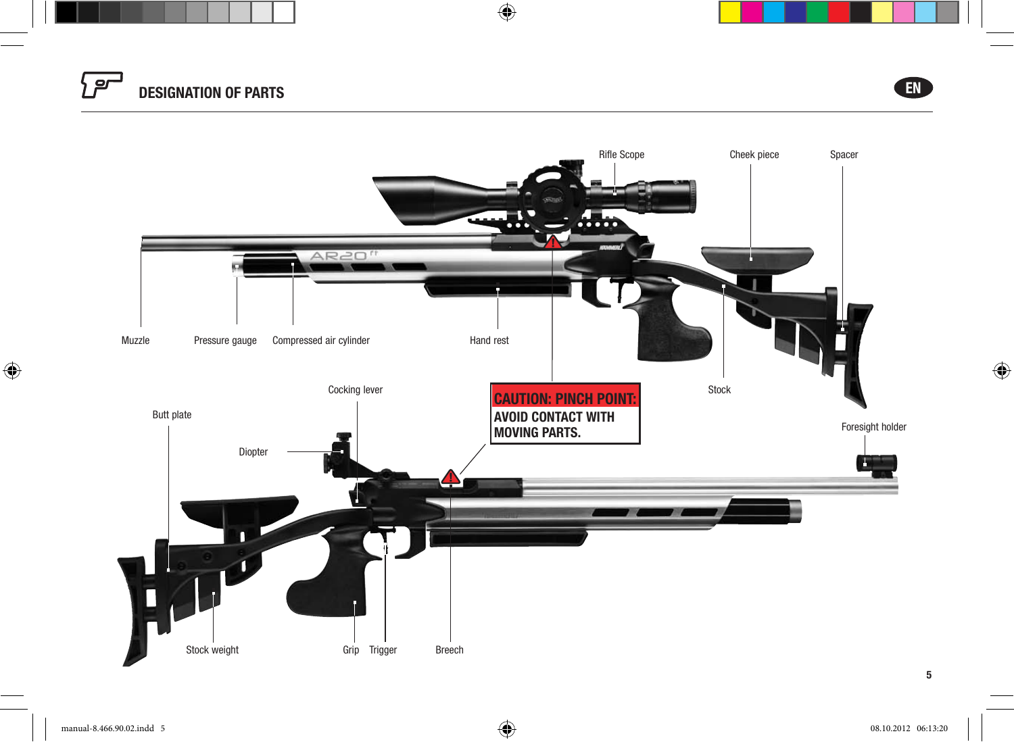



 $\bigoplus$ 

5

 $\bigoplus$ 

 $\bigoplus$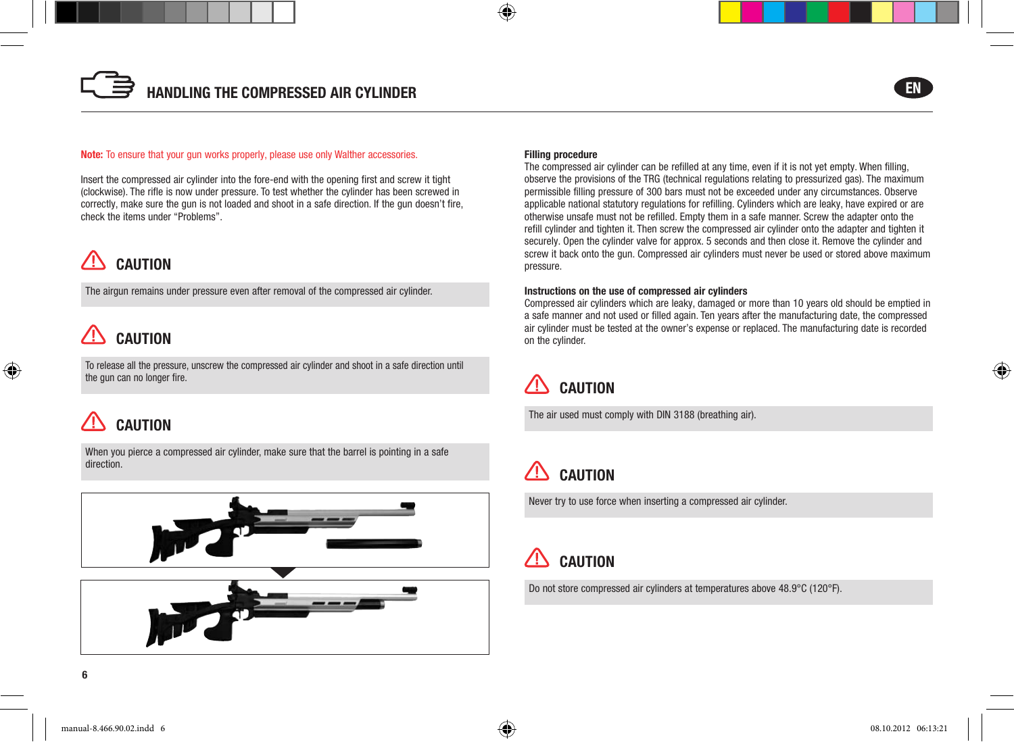#### Note: To ensure that your gun works properly, please use only Walther accessories.

insert the compressed air cylinder into the fore-end with the opening first and screw it tight (clockwise). The rifle is now under pressure. To test whether the cylinder has been screwed in correctly, make sure the gun is not loaded and shoot in a safe direction. If the gun doesn't fire, check the items under "problems".

# **CAUTION**

The airgun remains under pressure even after removal of the compressed air cylinder.

## **CAUTION**

⊕

To release all the pressure, unscrew the compressed air cylinder and shoot in a safe direction until the gun can no longer fire.

## CAUTiOn

When you pierce a compressed air cylinder, make sure that the barrel is pointing in a safe direction.





#### Filling procedure

⊕

The compressed air cylinder can be refilled at any time, even if it is not yet empty. When filling, observe the provisions of the TRg (technical regulations relating to pressurized gas). The maximum permissible filling pressure of 300 bars must not be exceeded under any circumstances. Observe applicable national statutory regulations for refilling. cylinders which are leaky, have expired or are otherwise unsafe must not be refilled. empty them in a safe manner. screw the adapter onto the refill cylinder and tighten it. Then screw the compressed air cylinder onto the adapter and tighten it securely. Open the cylinder valve for approx. 5 seconds and then close it. Remove the cylinder and screw it back onto the gun. compressed air cylinders must never be used or stored above maximum pressure.

#### instructions on the use of compressed air cylinders

compressed air cylinders which are leaky, damaged or more than 10 years old should be emptied in a safe manner and not used or filled again. Ten years after the manufacturing date, the compressed air cylinder must be tested at the owner's expense or replaced. The manufacturing date is recorded on the cylinder.



The air used must comply with DIN 3188 (breathing air).

## CAUTiOn

Never try to use force when inserting a compressed air cylinder.

#### ΛŅ **CAUTION**

Do not store compressed air cylinders at temperatures above 48.9°C (120°F).

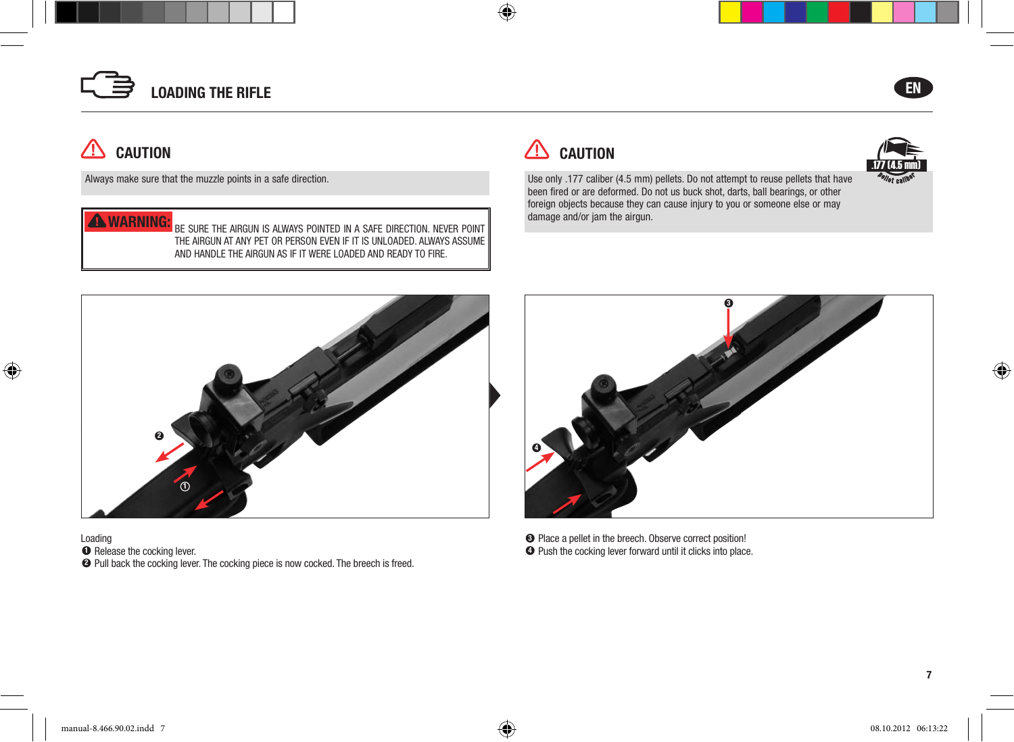



Always make sure that the muzzle points in a safe direction.

## wArning:

CAUTiOn

ΛŅ

◈

Be suRe the aiRGun is always pointed in a saFe diRection. neVeR point the aiRGun at any pet oR peRson eVen iF it is unloaded. always assuMe and handle the aiRGun as iF it weRe loaded and Ready to FiRe.



 $\bigoplus$ 



Use only .177 caliber (4.5 mm) pellets. Do not attempt to reuse pellets that have been fired or are deformed. Do not us buck shot, darts, ball bearings, or other foreign objects because they can cause injury to you or someone else or may damage and/or jam the airgun.



loading  $\bullet$  Release the cocking lever. 2 Pull back the cocking lever. The cocking piece is now cocked. The breech is freed.



 $\bullet$  Place a pellet in the breech. Observe correct position!  $\bullet$  Push the cocking lever forward until it clicks into place.

7

⊕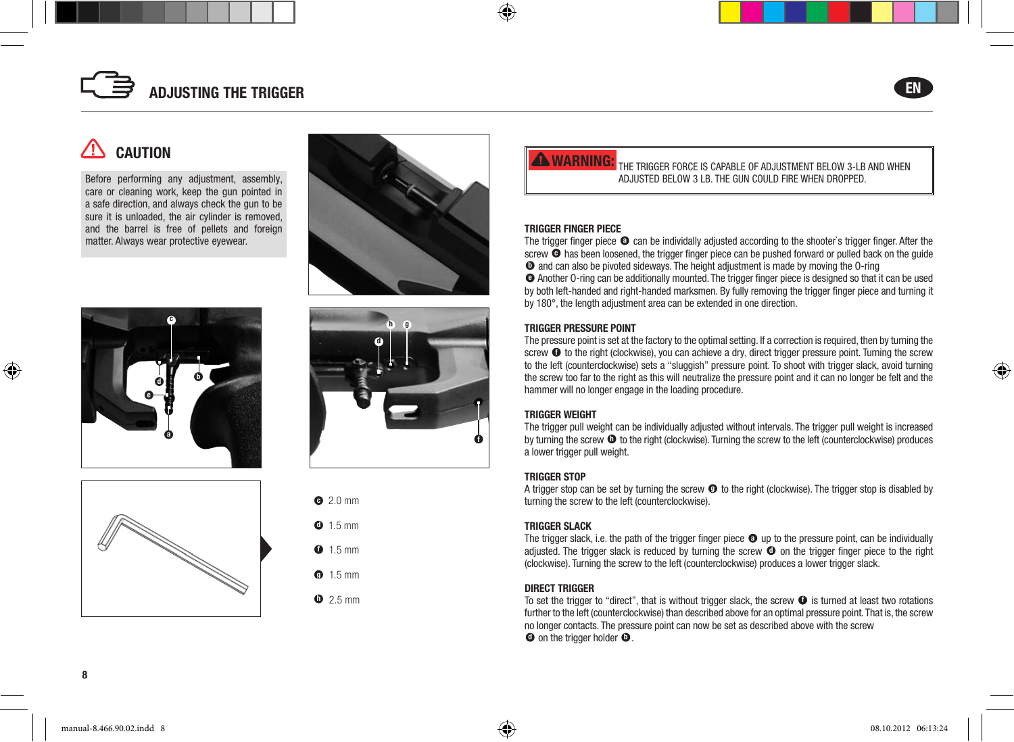



◈

## **CAUTION**

Before performing any adjustment, assembly, care or cleaning work, keep the gun pointed in a safe direction, and always check the gun to be sure it is unloaded, the air cylinder is removed, and the barrel is free of pellets and foreign matter. Always wear protective eyewear.









|  | $\bullet$ 2.0 mm |
|--|------------------|
|  | $0.15$ mm        |
|  | $\bullet$ 1.5 mm |
|  | $1.5$ mm         |

 $D$  2.5 mm

**WARNING:** THE TRIGGER FORCE IS CAPABLE OF ADJUSTMENT BELOW 3-LB AND WHEN adJusted Below 3 lB. the Gun could FiRe when dRopped.

#### TriggEr FingEr PiECE

◈

The trigger finger piece  $\bullet$  can be individally adjusted according to the shooter's trigger finger. After the screw  $\bullet$  has been loosened, the trigger finger piece can be pushed forward or pulled back on the quide  $\bullet$  and can also be pivoted sideways. The height adjustment is made by moving the O-ring e another o-ring can be additionally mounted. the trigger finger piece is designed so that it can be used

by both left-handed and right-handed marksmen. By fully removing the trigger finger piece and turning it by 180°, the length adjustment area can be extended in one direction.

#### TriggEr PrESSUrE POinT

The pressure point is set at the factory to the optimal setting. If a correction is required, then by turning the screw  $\bullet$  to the right (clockwise), you can achieve a dry, direct trigger pressure point. Turning the screw to the left (counterclockwise) sets a "sluggish" pressure point. To shoot with trigger slack, avoid turning the screw too far to the right as this will neutralize the pressure point and it can no longer be felt and the hammer will no longer engage in the loading procedure.

#### TriggEr wEigHT

The trigger pull weight can be individually adjusted without intervals. The trigger pull weight is increased by turning the screw  $\Phi$  to the right (clockwise). Turning the screw to the left (counterclockwise) produces a lower trigger pull weight.

#### TriggEr STOP

A trigger stop can be set by turning the screw  $\bullet$  to the right (clockwise). The trigger stop is disabled by turning the screw to the left (counterclockwise).

#### TriggEr SLACK

The trigger slack, i.e. the path of the trigger finger piece  $\bullet$  up to the pressure point, can be individually adjusted. The trigger slack is reduced by turning the screw  $\bullet$  on the trigger finger piece to the right (clockwise). Turning the screw to the left (counterclockwise) produces a lower trigger slack.

#### DirECT TriggEr

To set the trigger to "direct", that is without trigger slack, the screw  $\bullet$  is turned at least two rotations further to the left (counterclockwise) than described above for an optimal pressure point. That is, the screw no longer contacts. The pressure point can now be set as described above with the screw  $\bullet$  on the trigger holder  $\bullet$ .

⊕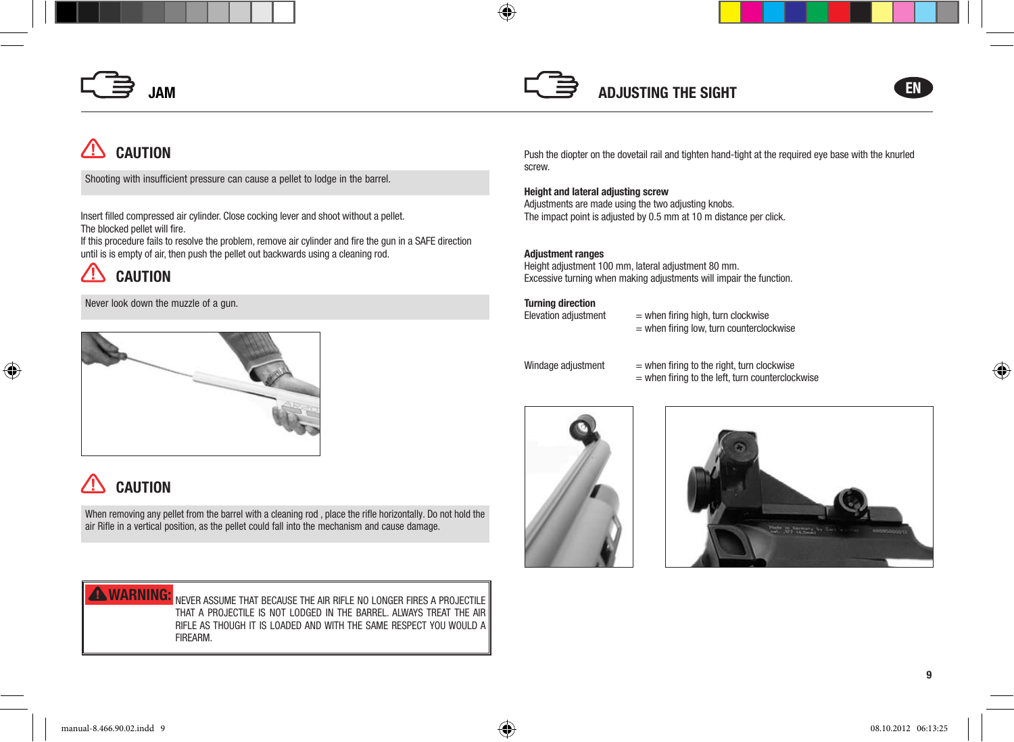



# **CAUTION**

shooting with insufficient pressure can cause a pellet to lodge in the barrel.

Insert filled compressed air cylinder. close cocking lever and shoot without a pellet. The blocked pellet will fire.

If this procedure fails to resolve the problem, remove air cylinder and fire the gun in a SAFe direction until is is empty of air, then push the pellet out backwards using a cleaning rod.

#### /l' **CAUTION**

⊕

Never look down the muzzle of a gun.



# **CAUTION**

When removing any pellet from the barrel with a cleaning rod, place the rifle horizontally. Do not hold the air Rifle in a vertical position, as the pellet could fall into the mechanism and cause damage.

**WARNING:** NEVER ASSUME THAT BECAUSE THE AIR RIFLE NO LONGER FIRES A PROJECTILE that a pRoJectile is not lodGed in the BaRRel. always tReat the aiR RiFle as thouGh it is loaded and with the saMe Respect you would a FiReaRM.

Push the diopter on the dovetail rail and tighten hand-tight at the required eye base with the knurled screw.

#### Height and lateral adjusting screw

Adjustments are made using the two adjusting knobs. The impact point is adjusted by 0.5 mm at 10 m distance per click.

#### Adjustment ranges

⊕

height adjustment 100 mm, lateral adjustment 80 mm. Excessive turning when making adjustments will impair the function.

**Turning direction**<br>Elevation adjustment

 $=$  when firing high, turn clockwise  $=$  when firing low, turn counterclockwise



Windage adjustment  $=$  when firing to the right, turn clockwise = when firing to the left, turn counterclockwise





9

⊕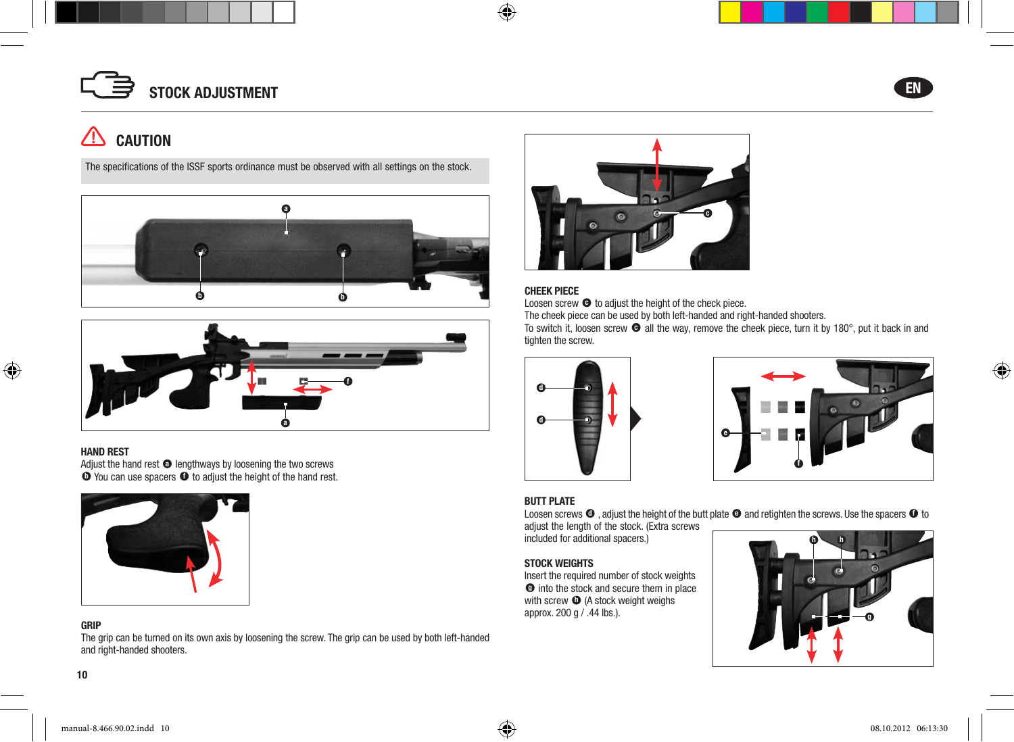



⊕

## $\triangle$  CAUTION

The specifications of the ISSF sports ordinance must be observed with all settings on the stock.





#### HAnD rEST

◈

Adjust the hand rest  $\bullet$  lengthways by loosening the two screws  $\bullet$  You can use spacers  $\bullet$  to adjust the height of the hand rest.



#### griP

The grip can be turned on its own axis by loosening the screw. The grip can be used by both left-handed and right-handed shooters.



#### CHEEK PiECE

 $\bigoplus$ 

Loosen screw  $\bullet$  to adjust the height of the check piece.

The cheek piece can be used by both left-handed and right-handed shooters.

To switch it, loosen screw  $\bullet$  all the way, remove the cheek piece, turn it by 180°, put it back in and tighten the screw.





#### BUTT PLATE

Loosen screws  $\bullet$  , adjust the height of the butt plate  $\bullet$  and retighten the screws. Use the spacers  $\bullet$  to

adjust the length of the stock. (Extra screws included for additional spacers.)

#### STOCK wEigHTS

Insert the required number of stock weights  $\bullet$  into the stock and secure them in place with screw  $\Phi$  (A stock weight weighs approx. 200 g / .44 lbs.).



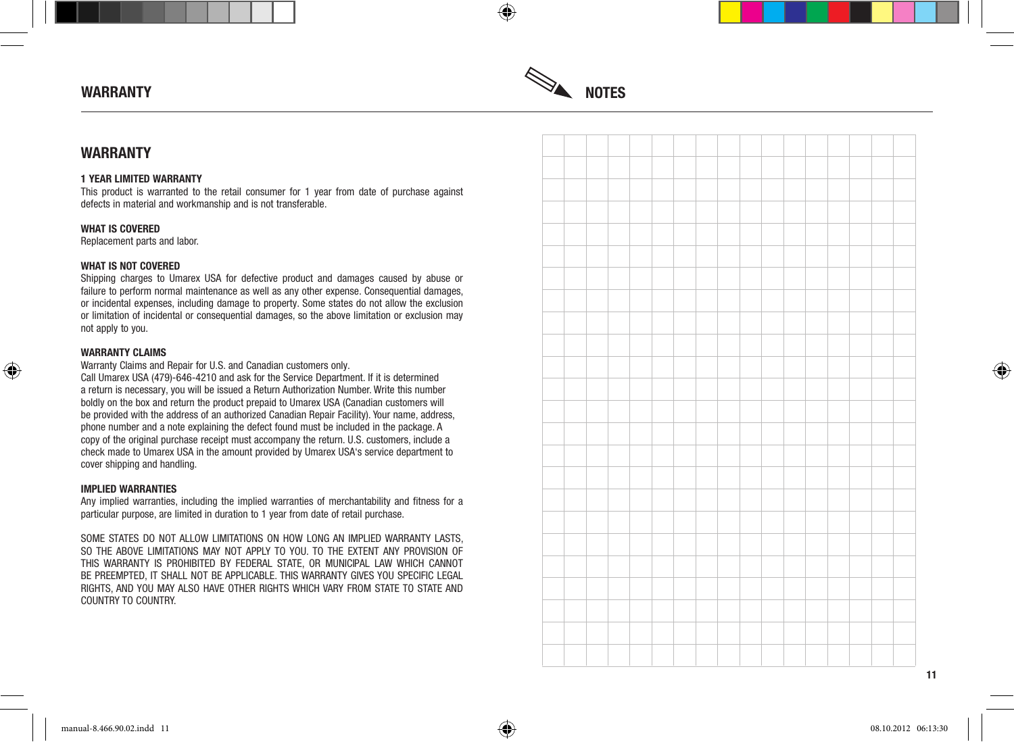

⊕

#### **WARRANTY**

#### 1 YEAr LiMiTED wArrAnTY

this product is warranted to the retail consumer for 1 year from date of purchase against defects in material and workmanship and is not transferable.

#### WHAT IS COVERED

Replacement parts and labor.

#### WHAT IS NOT COVERED

Shipping charges to Umarex USA for defective product and damages caused by abuse or failure to perform normal maintenance as well as any other expense. consequential damages, or incidental expenses, including damage to property. Some states do not allow the exclusion or limitation of incidental or consequential damages, so the above limitation or exclusion may not apply to you.

#### wArrAnTY CLAiMS

⊕

Warranty Claims and Repair for U.S. and Canadian customers only.

Call Umarex USA (479)-646-4210 and ask for the Service Department. If it is determined a return is necessary, you will be issued a Return Authorization Number. Write this number boldly on the box and return the product prepaid to Umarex USA (canadian customers will be provided with the address of an authorized canadian Repair Facility). your name, address, phone number and a note explaining the defect found must be included in the package. A copy of the original purchase receipt must accompany the return. U.S. customers, include a check made to Umarex USA in the amount provided by Umarex USA's service department to cover shipping and handling.

#### iMPLiED wArrAnTiES

Any implied warranties, including the implied warranties of merchantability and fitness for a particular purpose, are limited in duration to 1 year from date of retail purchase.

SOMe STATeS dO NOT AllOW lIMITATIONS ON hOW lONg AN IMPlIed WARRANTy lASTS, so the aBoVe liMitations May not apply to you. to the eXtent any pRoVision oF ThIS WARRANTy IS PROhIBITed By FedeRAl STATe, OR MUNIcIPAl lAW WhIch cANNOT Be PReeMPTed, IT ShAll NOT Be APPlIcABle. ThIS WARRANTy gIveS yOU SPecIFIc legAl RIghTS, ANd yOU MAy AlSO hAve OTheR RIghTS WhIch vARy FROM STATe TO STATe ANd countRy to countRy.



11